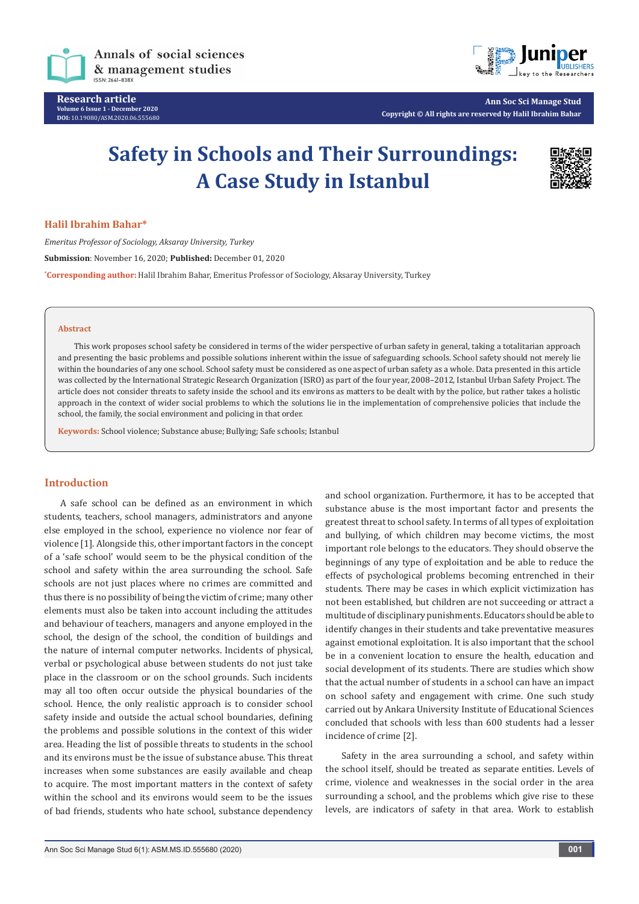

**Research article Volume 6 Issue 1 - December 2020 DOI:** [10.19080/ASM.2020.06.5556](http://dx.doi.org/10.19080/ASM.2020.06.555680)80



**Ann Soc Sci Manage Stud Copyright © All rights are reserved by Halil Ibrahim Bahar**

# **Safety in Schools and Their Surroundings: A Case Study in Istanbul**



## **Halil Ibrahim Bahar\***

*Emeritus Professor of Sociology, Aksaray University, Turkey* **Submission**: November 16, 2020; **Published:** December 01, 2020 **\* Corresponding author:** Halil Ibrahim Bahar, Emeritus Professor of Sociology, Aksaray University, Turkey

#### **Abstract**

This work proposes school safety be considered in terms of the wider perspective of urban safety in general, taking a totalitarian approach and presenting the basic problems and possible solutions inherent within the issue of safeguarding schools. School safety should not merely lie within the boundaries of any one school. School safety must be considered as one aspect of urban safety as a whole. Data presented in this article was collected by the International Strategic Research Organization (ISRO) as part of the four year, 2008–2012, Istanbul Urban Safety Project. The article does not consider threats to safety inside the school and its environs as matters to be dealt with by the police, but rather takes a holistic approach in the context of wider social problems to which the solutions lie in the implementation of comprehensive policies that include the school, the family, the social environment and policing in that order.

**Keywords:** School violence; Substance abuse; Bullying; Safe schools; Istanbul

# **Introduction**

A safe school can be defined as an environment in which students, teachers, school managers, administrators and anyone else employed in the school, experience no violence nor fear of violence [1]. Alongside this, other important factors in the concept of a 'safe school' would seem to be the physical condition of the school and safety within the area surrounding the school. Safe schools are not just places where no crimes are committed and thus there is no possibility of being the victim of crime; many other elements must also be taken into account including the attitudes and behaviour of teachers, managers and anyone employed in the school, the design of the school, the condition of buildings and the nature of internal computer networks. Incidents of physical, verbal or psychological abuse between students do not just take place in the classroom or on the school grounds. Such incidents may all too often occur outside the physical boundaries of the school. Hence, the only realistic approach is to consider school safety inside and outside the actual school boundaries, defining the problems and possible solutions in the context of this wider area. Heading the list of possible threats to students in the school and its environs must be the issue of substance abuse. This threat increases when some substances are easily available and cheap to acquire. The most important matters in the context of safety within the school and its environs would seem to be the issues of bad friends, students who hate school, substance dependency

and school organization. Furthermore, it has to be accepted that substance abuse is the most important factor and presents the greatest threat to school safety. In terms of all types of exploitation and bullying, of which children may become victims, the most important role belongs to the educators. They should observe the beginnings of any type of exploitation and be able to reduce the effects of psychological problems becoming entrenched in their students. There may be cases in which explicit victimization has not been established, but children are not succeeding or attract a multitude of disciplinary punishments. Educators should be able to identify changes in their students and take preventative measures against emotional exploitation. It is also important that the school be in a convenient location to ensure the health, education and social development of its students. There are studies which show that the actual number of students in a school can have an impact on school safety and engagement with crime. One such study carried out by Ankara University Institute of Educational Sciences concluded that schools with less than 600 students had a lesser incidence of crime [2].

Safety in the area surrounding a school, and safety within the school itself, should be treated as separate entities. Levels of crime, violence and weaknesses in the social order in the area surrounding a school, and the problems which give rise to these levels, are indicators of safety in that area. Work to establish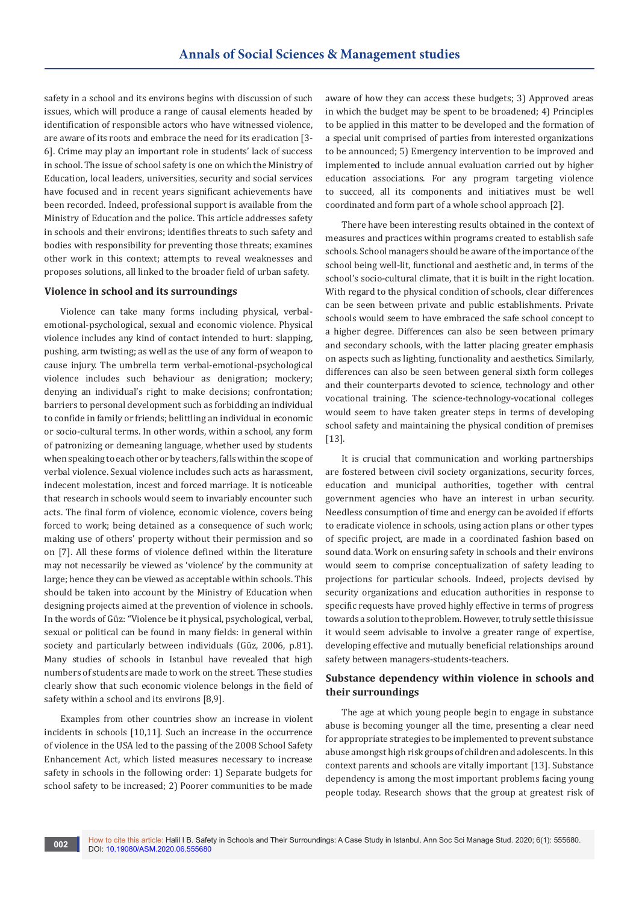safety in a school and its environs begins with discussion of such issues, which will produce a range of causal elements headed by identification of responsible actors who have witnessed violence, are aware of its roots and embrace the need for its eradication [3- 6]. Crime may play an important role in students' lack of success in school. The issue of school safety is one on which the Ministry of Education, local leaders, universities, security and social services have focused and in recent years significant achievements have been recorded. Indeed, professional support is available from the Ministry of Education and the police. This article addresses safety in schools and their environs; identifies threats to such safety and bodies with responsibility for preventing those threats; examines other work in this context; attempts to reveal weaknesses and proposes solutions, all linked to the broader field of urban safety.

#### **Violence in school and its surroundings**

Violence can take many forms including physical, verbalemotional-psychological, sexual and economic violence. Physical violence includes any kind of contact intended to hurt: slapping, pushing, arm twisting; as well as the use of any form of weapon to cause injury. The umbrella term verbal-emotional-psychological violence includes such behaviour as denigration; mockery; denying an individual's right to make decisions; confrontation; barriers to personal development such as forbidding an individual to confide in family or friends; belittling an individual in economic or socio-cultural terms. In other words, within a school, any form of patronizing or demeaning language, whether used by students when speaking to each other or by teachers, falls within the scope of verbal violence. Sexual violence includes such acts as harassment, indecent molestation, incest and forced marriage. It is noticeable that research in schools would seem to invariably encounter such acts. The final form of violence, economic violence, covers being forced to work; being detained as a consequence of such work; making use of others' property without their permission and so on [7]. All these forms of violence defined within the literature may not necessarily be viewed as 'violence' by the community at large; hence they can be viewed as acceptable within schools. This should be taken into account by the Ministry of Education when designing projects aimed at the prevention of violence in schools. In the words of Güz: "Violence be it physical, psychological, verbal, sexual or political can be found in many fields: in general within society and particularly between individuals (Güz, 2006, p.81). Many studies of schools in Istanbul have revealed that high numbers of students are made to work on the street. These studies clearly show that such economic violence belongs in the field of safety within a school and its environs [8,9].

Examples from other countries show an increase in violent incidents in schools [10,11]. Such an increase in the occurrence of violence in the USA led to the passing of the 2008 School Safety Enhancement Act, which listed measures necessary to increase safety in schools in the following order: 1) Separate budgets for school safety to be increased; 2) Poorer communities to be made

aware of how they can access these budgets; 3) Approved areas in which the budget may be spent to be broadened; 4) Principles to be applied in this matter to be developed and the formation of a special unit comprised of parties from interested organizations to be announced; 5) Emergency intervention to be improved and implemented to include annual evaluation carried out by higher education associations. For any program targeting violence to succeed, all its components and initiatives must be well coordinated and form part of a whole school approach [2].

There have been interesting results obtained in the context of measures and practices within programs created to establish safe schools. School managers should be aware of the importance of the school being well-lit, functional and aesthetic and, in terms of the school's socio-cultural climate, that it is built in the right location. With regard to the physical condition of schools, clear differences can be seen between private and public establishments. Private schools would seem to have embraced the safe school concept to a higher degree. Differences can also be seen between primary and secondary schools, with the latter placing greater emphasis on aspects such as lighting, functionality and aesthetics. Similarly, differences can also be seen between general sixth form colleges and their counterparts devoted to science, technology and other vocational training. The science-technology-vocational colleges would seem to have taken greater steps in terms of developing school safety and maintaining the physical condition of premises [13].

It is crucial that communication and working partnerships are fostered between civil society organizations, security forces, education and municipal authorities, together with central government agencies who have an interest in urban security. Needless consumption of time and energy can be avoided if efforts to eradicate violence in schools, using action plans or other types of specific project, are made in a coordinated fashion based on sound data. Work on ensuring safety in schools and their environs would seem to comprise conceptualization of safety leading to projections for particular schools. Indeed, projects devised by security organizations and education authorities in response to specific requests have proved highly effective in terms of progress towards a solution to the problem. However, to truly settle this issue it would seem advisable to involve a greater range of expertise, developing effective and mutually beneficial relationships around safety between managers-students-teachers.

# **Substance dependency within violence in schools and their surroundings**

The age at which young people begin to engage in substance abuse is becoming younger all the time, presenting a clear need for appropriate strategies to be implemented to prevent substance abuse amongst high risk groups of children and adolescents. In this context parents and schools are vitally important [13]. Substance dependency is among the most important problems facing young people today. Research shows that the group at greatest risk of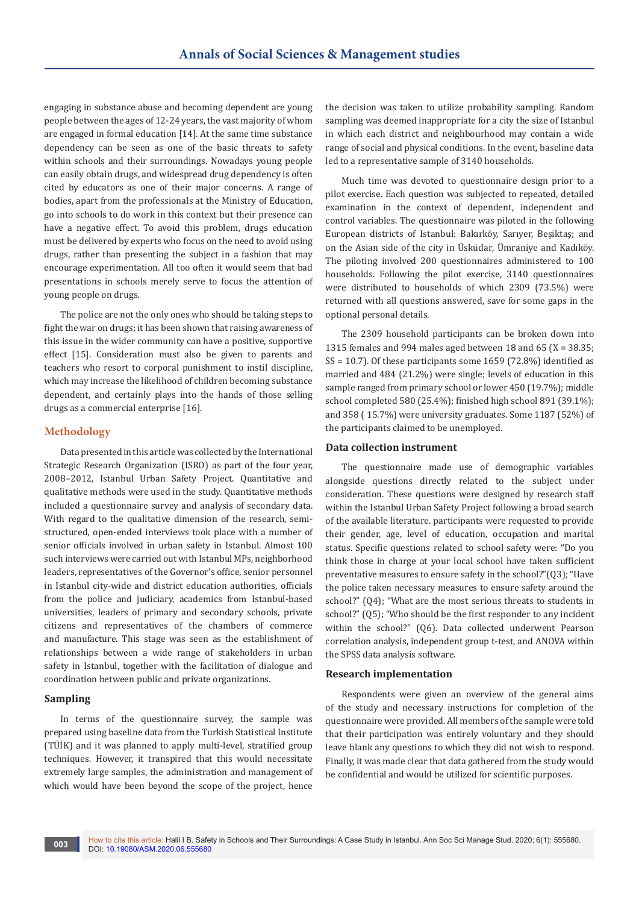engaging in substance abuse and becoming dependent are young people between the ages of 12-24 years, the vast majority of whom are engaged in formal education [14]. At the same time substance dependency can be seen as one of the basic threats to safety within schools and their surroundings. Nowadays young people can easily obtain drugs, and widespread drug dependency is often cited by educators as one of their major concerns. A range of bodies, apart from the professionals at the Ministry of Education, go into schools to do work in this context but their presence can have a negative effect. To avoid this problem, drugs education must be delivered by experts who focus on the need to avoid using drugs, rather than presenting the subject in a fashion that may encourage experimentation. All too often it would seem that bad presentations in schools merely serve to focus the attention of young people on drugs.

The police are not the only ones who should be taking steps to fight the war on drugs; it has been shown that raising awareness of this issue in the wider community can have a positive, supportive effect [15]. Consideration must also be given to parents and teachers who resort to corporal punishment to instil discipline, which may increase the likelihood of children becoming substance dependent, and certainly plays into the hands of those selling drugs as a commercial enterprise [16].

## **Methodology**

Data presented in this article was collected by the International Strategic Research Organization (ISRO) as part of the four year, 2008–2012, Istanbul Urban Safety Project. Quantitative and qualitative methods were used in the study. Quantitative methods included a questionnaire survey and analysis of secondary data. With regard to the qualitative dimension of the research, semistructured, open-ended interviews took place with a number of senior officials involved in urban safety in Istanbul. Almost 100 such interviews were carried out with Istanbul MPs, neighborhood leaders, representatives of the Governor's office, senior personnel in Istanbul city-wide and district education authorities, officials from the police and judiciary, academics from Istanbul-based universities, leaders of primary and secondary schools, private citizens and representatives of the chambers of commerce and manufacture. This stage was seen as the establishment of relationships between a wide range of stakeholders in urban safety in Istanbul, together with the facilitation of dialogue and coordination between public and private organizations.

## **Sampling**

In terms of the questionnaire survey, the sample was prepared using baseline data from the Turkish Statistical Institute (TÜİK) and it was planned to apply multi-level, stratified group techniques. However, it transpired that this would necessitate extremely large samples, the administration and management of which would have been beyond the scope of the project, hence

the decision was taken to utilize probability sampling. Random sampling was deemed inappropriate for a city the size of Istanbul in which each district and neighbourhood may contain a wide range of social and physical conditions. In the event, baseline data led to a representative sample of 3140 households.

Much time was devoted to questionnaire design prior to a pilot exercise. Each question was subjected to repeated, detailed examination in the context of dependent, independent and control variables. The questionnaire was piloted in the following European districts of Istanbul: Bakırköy, Sarıyer, Beşiktaş; and on the Asian side of the city in Üsküdar, Ümraniye and Kadıköy. The piloting involved 200 questionnaires administered to 100 households. Following the pilot exercise, 3140 questionnaires were distributed to households of which 2309 (73.5%) were returned with all questions answered, save for some gaps in the optional personal details.

The 2309 household participants can be broken down into 1315 females and 994 males aged between 18 and 65  $(X = 38.35)$ ;  $SS = 10.7$ ). Of these participants some 1659 (72.8%) identified as married and 484 (21.2%) were single; levels of education in this sample ranged from primary school or lower 450 (19.7%); middle school completed 580 (25.4%); finished high school 891 (39.1%); and 358 ( 15.7%) were university graduates. Some 1187 (52%) of the participants claimed to be unemployed.

#### **Data collection instrument**

The questionnaire made use of demographic variables alongside questions directly related to the subject under consideration. These questions were designed by research staff within the Istanbul Urban Safety Project following a broad search of the available literature. participants were requested to provide their gender, age, level of education, occupation and marital status. Specific questions related to school safety were: "Do you think those in charge at your local school have taken sufficient preventative measures to ensure safety in the school?"(Q3); "Have the police taken necessary measures to ensure safety around the school?" (Q4); "What are the most serious threats to students in school?" (Q5); "Who should be the first responder to any incident within the school?" (Q6). Data collected underwent Pearson correlation analysis, independent group t-test, and ANOVA within the SPSS data analysis software.

#### **Research implementation**

Respondents were given an overview of the general aims of the study and necessary instructions for completion of the questionnaire were provided. All members of the sample were told that their participation was entirely voluntary and they should leave blank any questions to which they did not wish to respond. Finally, it was made clear that data gathered from the study would be confidential and would be utilized for scientific purposes.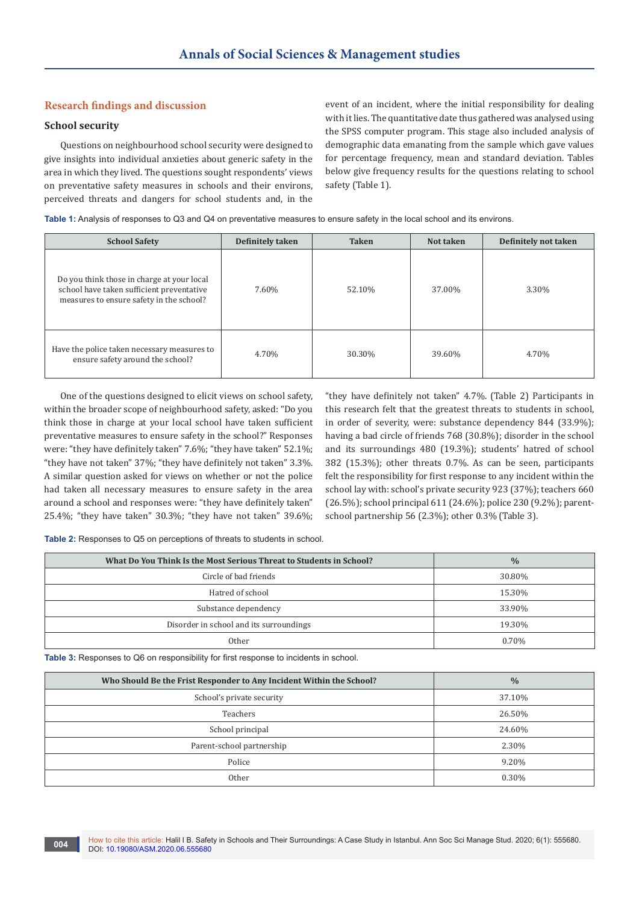# **Research findings and discussion**

## **School security**

Questions on neighbourhood school security were designed to give insights into individual anxieties about generic safety in the area in which they lived. The questions sought respondents' views on preventative safety measures in schools and their environs, perceived threats and dangers for school students and, in the

event of an incident, where the initial responsibility for dealing with it lies. The quantitative date thus gathered was analysed using the SPSS computer program. This stage also included analysis of demographic data emanating from the sample which gave values for percentage frequency, mean and standard deviation. Tables below give frequency results for the questions relating to school safety (Table 1).

**Table 1:** Analysis of responses to Q3 and Q4 on preventative measures to ensure safety in the local school and its environs.

| <b>School Safety</b>                                                                                                                | Definitely taken | <b>Taken</b> | Not taken | Definitely not taken |
|-------------------------------------------------------------------------------------------------------------------------------------|------------------|--------------|-----------|----------------------|
| Do you think those in charge at your local<br>school have taken sufficient preventative<br>measures to ensure safety in the school? | 7.60%            | 52.10%       | 37.00%    | 3.30%                |
| Have the police taken necessary measures to<br>ensure safety around the school?                                                     | 4.70%            | 30.30%       | 39.60%    | 4.70%                |

One of the questions designed to elicit views on school safety, within the broader scope of neighbourhood safety, asked: "Do you think those in charge at your local school have taken sufficient preventative measures to ensure safety in the school?" Responses were: "they have definitely taken" 7.6%; "they have taken" 52.1%; "they have not taken" 37%; "they have definitely not taken" 3.3%. A similar question asked for views on whether or not the police had taken all necessary measures to ensure safety in the area around a school and responses were: "they have definitely taken" 25.4%; "they have taken" 30.3%; "they have not taken" 39.6%; "they have definitely not taken" 4.7%. (Table 2) Participants in this research felt that the greatest threats to students in school, in order of severity, were: substance dependency 844 (33.9%); having a bad circle of friends 768 (30.8%); disorder in the school and its surroundings 480 (19.3%); students' hatred of school 382 (15.3%); other threats 0.7%. As can be seen, participants felt the responsibility for first response to any incident within the school lay with: school's private security 923 (37%); teachers 660 (26.5%); school principal 611 (24.6%); police 230 (9.2%); parentschool partnership 56 (2.3%); other 0.3% (Table 3).

**Table 2:** Responses to Q5 on perceptions of threats to students in school.

| What Do You Think Is the Most Serious Threat to Students in School? | $\frac{0}{0}$ |
|---------------------------------------------------------------------|---------------|
| Circle of bad friends                                               | 30.80%        |
| Hatred of school                                                    | 15.30%        |
| Substance dependency                                                | 33.90%        |
| Disorder in school and its surroundings                             | 19.30%        |
| Other                                                               | 0.70%         |

**Table 3:** Responses to Q6 on responsibility for first response to incidents in school.

| Who Should Be the Frist Responder to Any Incident Within the School? | $\frac{0}{0}$ |
|----------------------------------------------------------------------|---------------|
| School's private security                                            | 37.10%        |
| Teachers                                                             | 26.50%        |
| School principal                                                     | 24.60%        |
| Parent-school partnership                                            | 2.30%         |
| Police                                                               | 9.20%         |
| Other                                                                | 0.30%         |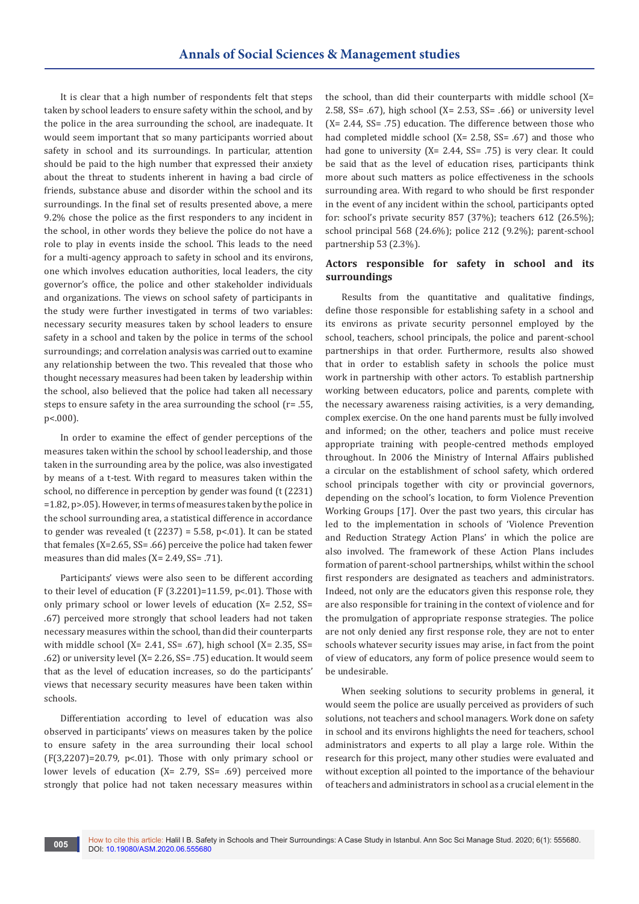It is clear that a high number of respondents felt that steps taken by school leaders to ensure safety within the school, and by the police in the area surrounding the school, are inadequate. It would seem important that so many participants worried about safety in school and its surroundings. In particular, attention should be paid to the high number that expressed their anxiety about the threat to students inherent in having a bad circle of friends, substance abuse and disorder within the school and its surroundings. In the final set of results presented above, a mere 9.2% chose the police as the first responders to any incident in the school, in other words they believe the police do not have a role to play in events inside the school. This leads to the need for a multi-agency approach to safety in school and its environs, one which involves education authorities, local leaders, the city governor's office, the police and other stakeholder individuals and organizations. The views on school safety of participants in the study were further investigated in terms of two variables: necessary security measures taken by school leaders to ensure safety in a school and taken by the police in terms of the school surroundings; and correlation analysis was carried out to examine any relationship between the two. This revealed that those who thought necessary measures had been taken by leadership within the school, also believed that the police had taken all necessary steps to ensure safety in the area surrounding the school (r= .55, p<.000).

In order to examine the effect of gender perceptions of the measures taken within the school by school leadership, and those taken in the surrounding area by the police, was also investigated by means of a t-test. With regard to measures taken within the school, no difference in perception by gender was found (t (2231) =1.82, p>.05). However, in terms of measures taken by the police in the school surrounding area, a statistical difference in accordance to gender was revealed (t  $(2237) = 5.58$ , p<.01). It can be stated that females (X=2.65, SS= .66) perceive the police had taken fewer measures than did males (X= 2.49, SS= .71).

Participants' views were also seen to be different according to their level of education (F (3.2201)=11.59, p<.01). Those with only primary school or lower levels of education (X= 2.52, SS= .67) perceived more strongly that school leaders had not taken necessary measures within the school, than did their counterparts with middle school (X= 2.41, SS= .67), high school (X= 2.35, SS= .62) or university level (X= 2.26, SS= .75) education. It would seem that as the level of education increases, so do the participants' views that necessary security measures have been taken within schools.

Differentiation according to level of education was also observed in participants' views on measures taken by the police to ensure safety in the area surrounding their local school  $(F(3,2207)=20.79, p<0.1)$ . Those with only primary school or lower levels of education (X= 2.79, SS= .69) perceived more strongly that police had not taken necessary measures within

the school, than did their counterparts with middle school (X= 2.58, SS= .67), high school (X= 2.53, SS= .66) or university level (X= 2.44, SS= .75) education. The difference between those who had completed middle school (X= 2.58, SS= .67) and those who had gone to university (X= 2.44, SS= .75) is very clear. It could be said that as the level of education rises, participants think more about such matters as police effectiveness in the schools surrounding area. With regard to who should be first responder in the event of any incident within the school, participants opted for: school's private security 857 (37%); teachers 612 (26.5%); school principal 568 (24.6%); police 212 (9.2%); parent-school partnership 53 (2.3%).

# **Actors responsible for safety in school and its surroundings**

Results from the quantitative and qualitative findings, define those responsible for establishing safety in a school and its environs as private security personnel employed by the school, teachers, school principals, the police and parent-school partnerships in that order. Furthermore, results also showed that in order to establish safety in schools the police must work in partnership with other actors. To establish partnership working between educators, police and parents, complete with the necessary awareness raising activities, is a very demanding, complex exercise. On the one hand parents must be fully involved and informed; on the other, teachers and police must receive appropriate training with people-centred methods employed throughout. In 2006 the Ministry of Internal Affairs published a circular on the establishment of school safety, which ordered school principals together with city or provincial governors, depending on the school's location, to form Violence Prevention Working Groups [17]. Over the past two years, this circular has led to the implementation in schools of 'Violence Prevention and Reduction Strategy Action Plans' in which the police are also involved. The framework of these Action Plans includes formation of parent-school partnerships, whilst within the school first responders are designated as teachers and administrators. Indeed, not only are the educators given this response role, they are also responsible for training in the context of violence and for the promulgation of appropriate response strategies. The police are not only denied any first response role, they are not to enter schools whatever security issues may arise, in fact from the point of view of educators, any form of police presence would seem to be undesirable.

When seeking solutions to security problems in general, it would seem the police are usually perceived as providers of such solutions, not teachers and school managers. Work done on safety in school and its environs highlights the need for teachers, school administrators and experts to all play a large role. Within the research for this project, many other studies were evaluated and without exception all pointed to the importance of the behaviour of teachers and administrators in school as a crucial element in the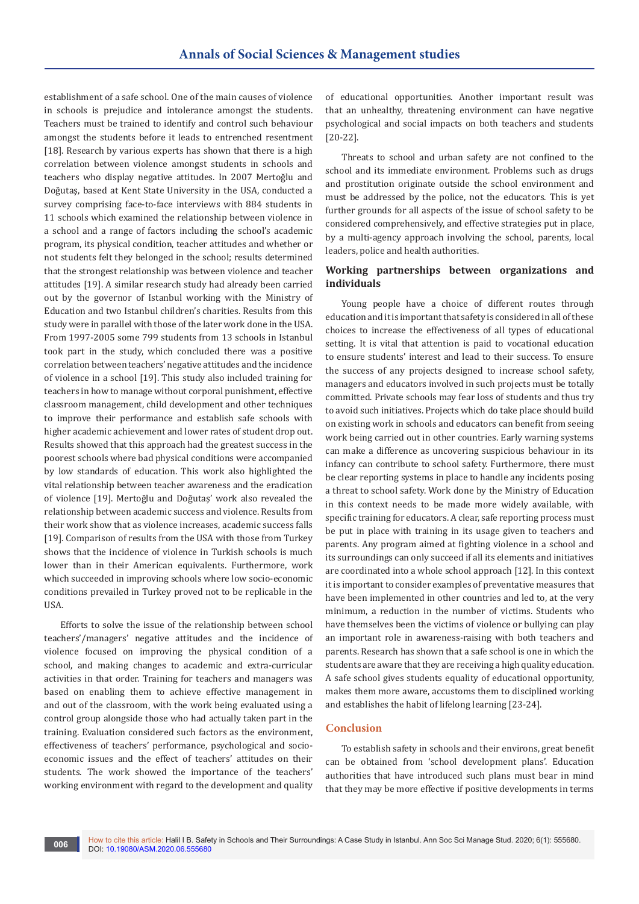establishment of a safe school. One of the main causes of violence in schools is prejudice and intolerance amongst the students. Teachers must be trained to identify and control such behaviour amongst the students before it leads to entrenched resentment [18]. Research by various experts has shown that there is a high correlation between violence amongst students in schools and teachers who display negative attitudes. In 2007 Mertoğlu and Doğutaş, based at Kent State University in the USA, conducted a survey comprising face-to-face interviews with 884 students in 11 schools which examined the relationship between violence in a school and a range of factors including the school's academic program, its physical condition, teacher attitudes and whether or not students felt they belonged in the school; results determined that the strongest relationship was between violence and teacher attitudes [19]. A similar research study had already been carried out by the governor of Istanbul working with the Ministry of Education and two Istanbul children's charities. Results from this study were in parallel with those of the later work done in the USA. From 1997-2005 some 799 students from 13 schools in Istanbul took part in the study, which concluded there was a positive correlation between teachers' negative attitudes and the incidence of violence in a school [19]. This study also included training for teachers in how to manage without corporal punishment, effective classroom management, child development and other techniques to improve their performance and establish safe schools with higher academic achievement and lower rates of student drop out. Results showed that this approach had the greatest success in the poorest schools where bad physical conditions were accompanied by low standards of education. This work also highlighted the vital relationship between teacher awareness and the eradication of violence [19]. Mertoğlu and Doğutaş' work also revealed the relationship between academic success and violence. Results from their work show that as violence increases, academic success falls [19]. Comparison of results from the USA with those from Turkey shows that the incidence of violence in Turkish schools is much lower than in their American equivalents. Furthermore, work which succeeded in improving schools where low socio-economic conditions prevailed in Turkey proved not to be replicable in the USA.

Efforts to solve the issue of the relationship between school teachers'/managers' negative attitudes and the incidence of violence focused on improving the physical condition of a school, and making changes to academic and extra-curricular activities in that order. Training for teachers and managers was based on enabling them to achieve effective management in and out of the classroom, with the work being evaluated using a control group alongside those who had actually taken part in the training. Evaluation considered such factors as the environment, effectiveness of teachers' performance, psychological and socioeconomic issues and the effect of teachers' attitudes on their students. The work showed the importance of the teachers' working environment with regard to the development and quality

of educational opportunities. Another important result was that an unhealthy, threatening environment can have negative psychological and social impacts on both teachers and students [20-22].

Threats to school and urban safety are not confined to the school and its immediate environment. Problems such as drugs and prostitution originate outside the school environment and must be addressed by the police, not the educators. This is yet further grounds for all aspects of the issue of school safety to be considered comprehensively, and effective strategies put in place, by a multi-agency approach involving the school, parents, local leaders, police and health authorities.

# **Working partnerships between organizations and individuals**

Young people have a choice of different routes through education and it is important that safety is considered in all of these choices to increase the effectiveness of all types of educational setting. It is vital that attention is paid to vocational education to ensure students' interest and lead to their success. To ensure the success of any projects designed to increase school safety, managers and educators involved in such projects must be totally committed. Private schools may fear loss of students and thus try to avoid such initiatives. Projects which do take place should build on existing work in schools and educators can benefit from seeing work being carried out in other countries. Early warning systems can make a difference as uncovering suspicious behaviour in its infancy can contribute to school safety. Furthermore, there must be clear reporting systems in place to handle any incidents posing a threat to school safety. Work done by the Ministry of Education in this context needs to be made more widely available, with specific training for educators. A clear, safe reporting process must be put in place with training in its usage given to teachers and parents. Any program aimed at fighting violence in a school and its surroundings can only succeed if all its elements and initiatives are coordinated into a whole school approach [12]. In this context it is important to consider examples of preventative measures that have been implemented in other countries and led to, at the very minimum, a reduction in the number of victims. Students who have themselves been the victims of violence or bullying can play an important role in awareness-raising with both teachers and parents. Research has shown that a safe school is one in which the students are aware that they are receiving a high quality education. A safe school gives students equality of educational opportunity, makes them more aware, accustoms them to disciplined working and establishes the habit of lifelong learning [23-24].

## **Conclusion**

To establish safety in schools and their environs, great benefit can be obtained from 'school development plans'. Education authorities that have introduced such plans must bear in mind that they may be more effective if positive developments in terms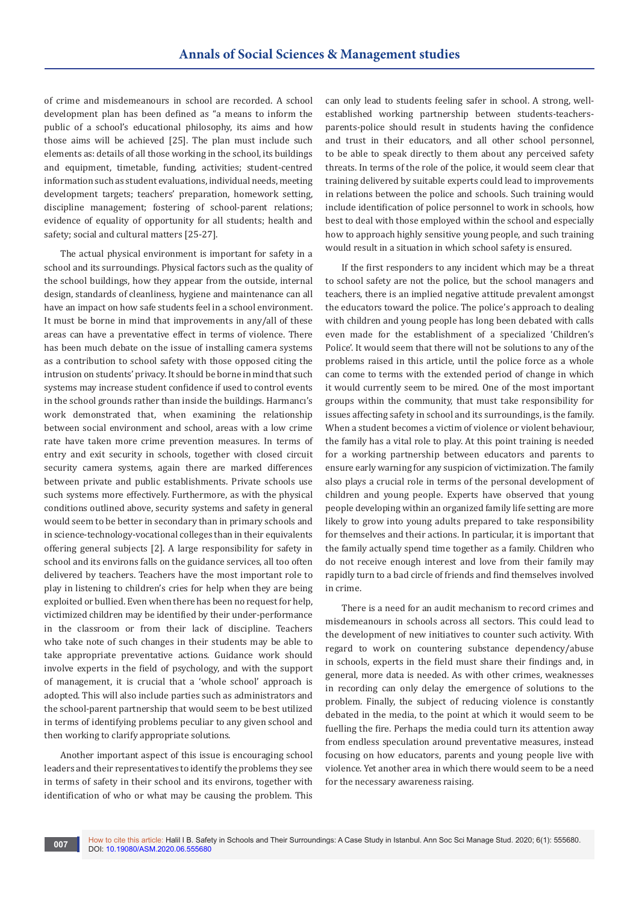of crime and misdemeanours in school are recorded. A school development plan has been defined as "a means to inform the public of a school's educational philosophy, its aims and how those aims will be achieved [25]. The plan must include such elements as: details of all those working in the school, its buildings and equipment, timetable, funding, activities; student-centred information such as student evaluations, individual needs, meeting development targets; teachers' preparation, homework setting, discipline management; fostering of school-parent relations; evidence of equality of opportunity for all students; health and safety; social and cultural matters [25-27].

The actual physical environment is important for safety in a school and its surroundings. Physical factors such as the quality of the school buildings, how they appear from the outside, internal design, standards of cleanliness, hygiene and maintenance can all have an impact on how safe students feel in a school environment. It must be borne in mind that improvements in any/all of these areas can have a preventative effect in terms of violence. There has been much debate on the issue of installing camera systems as a contribution to school safety with those opposed citing the intrusion on students' privacy. It should be borne in mind that such systems may increase student confidence if used to control events in the school grounds rather than inside the buildings. Harmancı's work demonstrated that, when examining the relationship between social environment and school, areas with a low crime rate have taken more crime prevention measures. In terms of entry and exit security in schools, together with closed circuit security camera systems, again there are marked differences between private and public establishments. Private schools use such systems more effectively. Furthermore, as with the physical conditions outlined above, security systems and safety in general would seem to be better in secondary than in primary schools and in science-technology-vocational colleges than in their equivalents offering general subjects [2]. A large responsibility for safety in school and its environs falls on the guidance services, all too often delivered by teachers. Teachers have the most important role to play in listening to children's cries for help when they are being exploited or bullied. Even when there has been no request for help, victimized children may be identified by their under-performance in the classroom or from their lack of discipline. Teachers who take note of such changes in their students may be able to take appropriate preventative actions. Guidance work should involve experts in the field of psychology, and with the support of management, it is crucial that a 'whole school' approach is adopted. This will also include parties such as administrators and the school-parent partnership that would seem to be best utilized in terms of identifying problems peculiar to any given school and then working to clarify appropriate solutions.

Another important aspect of this issue is encouraging school leaders and their representatives to identify the problems they see in terms of safety in their school and its environs, together with identification of who or what may be causing the problem. This

can only lead to students feeling safer in school. A strong, wellestablished working partnership between students-teachersparents-police should result in students having the confidence and trust in their educators, and all other school personnel, to be able to speak directly to them about any perceived safety threats. In terms of the role of the police, it would seem clear that training delivered by suitable experts could lead to improvements in relations between the police and schools. Such training would include identification of police personnel to work in schools, how best to deal with those employed within the school and especially how to approach highly sensitive young people, and such training would result in a situation in which school safety is ensured.

If the first responders to any incident which may be a threat to school safety are not the police, but the school managers and teachers, there is an implied negative attitude prevalent amongst the educators toward the police. The police's approach to dealing with children and young people has long been debated with calls even made for the establishment of a specialized 'Children's Police'. It would seem that there will not be solutions to any of the problems raised in this article, until the police force as a whole can come to terms with the extended period of change in which it would currently seem to be mired. One of the most important groups within the community, that must take responsibility for issues affecting safety in school and its surroundings, is the family. When a student becomes a victim of violence or violent behaviour, the family has a vital role to play. At this point training is needed for a working partnership between educators and parents to ensure early warning for any suspicion of victimization. The family also plays a crucial role in terms of the personal development of children and young people. Experts have observed that young people developing within an organized family life setting are more likely to grow into young adults prepared to take responsibility for themselves and their actions. In particular, it is important that the family actually spend time together as a family. Children who do not receive enough interest and love from their family may rapidly turn to a bad circle of friends and find themselves involved in crime.

There is a need for an audit mechanism to record crimes and misdemeanours in schools across all sectors. This could lead to the development of new initiatives to counter such activity. With regard to work on countering substance dependency/abuse in schools, experts in the field must share their findings and, in general, more data is needed. As with other crimes, weaknesses in recording can only delay the emergence of solutions to the problem. Finally, the subject of reducing violence is constantly debated in the media, to the point at which it would seem to be fuelling the fire. Perhaps the media could turn its attention away from endless speculation around preventative measures, instead focusing on how educators, parents and young people live with violence. Yet another area in which there would seem to be a need for the necessary awareness raising.